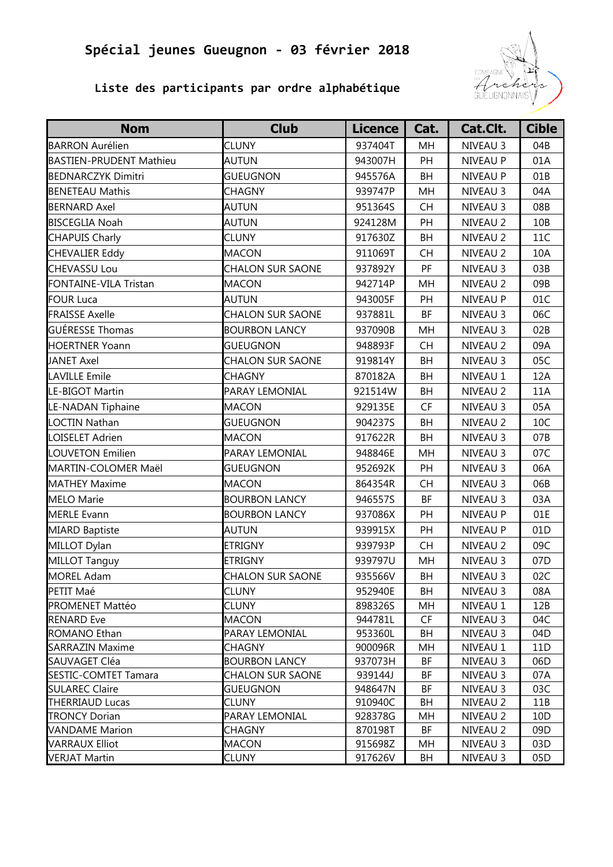

### **Liste des participants par ordre alphabétique**

| <b>Nom</b>                                           | <b>Club</b>                         | <b>Licence</b>     | Cat.      | Cat.Clt.             | <b>Cible</b> |
|------------------------------------------------------|-------------------------------------|--------------------|-----------|----------------------|--------------|
| <b>BARRON Aurélien</b>                               | <b>CLUNY</b>                        | 937404T            | MH        | NIVEAU 3             | 04B          |
| <b>BASTIEN-PRUDENT Mathieu</b>                       | <b>AUTUN</b>                        | 943007H            | PH        | NIVEAU P             | 01A          |
| <b>BEDNARCZYK Dimitri</b>                            | <b>GUEUGNON</b>                     | 945576A            | <b>BH</b> | NIVEAU P             | 01B          |
| <b>BENETEAU Mathis</b>                               | <b>CHAGNY</b>                       | 939747P            | MH        | NIVEAU 3             | 04A          |
| <b>BERNARD Axel</b>                                  | <b>AUTUN</b>                        | 951364S            | <b>CH</b> | NIVEAU 3             | 08B          |
| <b>BISCEGLIA Noah</b>                                | <b>AUTUN</b>                        | 924128M            | PH        | NIVEAU 2             | 10B          |
| <b>CHAPUIS Charly</b>                                | <b>CLUNY</b>                        | 917630Z            | <b>BH</b> | NIVEAU 2             | 11C          |
| <b>CHEVALIER Eddy</b>                                | <b>MACON</b>                        | 911069T            | <b>CH</b> | NIVEAU 2             | 10A          |
| <b>CHEVASSU Lou</b>                                  | <b>CHALON SUR SAONE</b>             | 937892Y            | PF        | NIVEAU 3             | 03B          |
| FONTAINE-VILA Tristan                                | <b>MACON</b>                        | 942714P            | MH        | NIVEAU 2             | 09B          |
| <b>FOUR Luca</b>                                     | AUTUN                               | 943005F            | PH        | NIVEAU P             | 01C          |
| <b>FRAISSE Axelle</b>                                | <b>CHALON SUR SAONE</b>             | 937881L            | BF        | NIVEAU 3             | 06C          |
| <b>GUÉRESSE Thomas</b>                               | <b>BOURBON LANCY</b>                | 937090B            | MH        | NIVEAU 3             | 02B          |
| <b>HOERTNER Yoann</b>                                | <b>GUEUGNON</b>                     | 948893F            | <b>CH</b> | NIVEAU 2             | 09A          |
| <b>JANET Axel</b>                                    | <b>CHALON SUR SAONE</b>             | 919814Y            | <b>BH</b> | NIVEAU 3             | 05C          |
| <b>LAVILLE Emile</b>                                 | <b>CHAGNY</b>                       | 870182A            | <b>BH</b> | NIVEAU 1             | 12A          |
| LE-BIGOT Martin                                      | PARAY LEMONIAL                      | 921514W            | BH        | NIVEAU 2             | 11A          |
| LE-NADAN Tiphaine                                    | <b>MACON</b>                        | 929135E            | <b>CF</b> | NIVEAU 3             | 05A          |
| <b>LOCTIN Nathan</b>                                 | <b>GUEUGNON</b>                     | 904237S            | <b>BH</b> | NIVEAU 2             | 10C          |
| LOISELET Adrien                                      | <b>MACON</b>                        | 917622R            | <b>BH</b> | NIVEAU 3             | 07B          |
| <b>LOUVETON Emilien</b>                              | PARAY LEMONIAL                      | 948846E            | MH        | NIVEAU 3             | 07C          |
| MARTIN-COLOMER Maël                                  | <b>GUEUGNON</b>                     | 952692K            | PH        | NIVEAU 3             | 06A          |
| <b>MATHEY Maxime</b>                                 | <b>MACON</b>                        | 864354R            | CH        | NIVEAU 3             | 06B          |
| <b>MELO Marie</b>                                    | <b>BOURBON LANCY</b>                | 946557S            | BF        | NIVEAU 3             | 03A          |
| <b>MERLE Evann</b>                                   | <b>BOURBON LANCY</b>                | 937086X            | PH        | NIVEAU P             | 01E          |
| <b>MIARD Baptiste</b>                                | <b>AUTUN</b>                        | 939915X            | PH        | NIVEAU P             | 01D          |
| MILLOT Dylan                                         | <b>ETRIGNY</b>                      | 939793P            | <b>CH</b> | NIVEAU 2             | 09C          |
| MILLOT Tanguy                                        | <b>ETRIGNY</b>                      | 939797U            | MH        | NIVEAU 3             | 07D          |
| <b>MOREL Adam</b>                                    | <b>CHALON SUR SAONE</b>             | 935566V            | BH        | NIVEAU 3             | 02C          |
| PETIT Maé                                            | <b>CLUNY</b>                        | 952940E            | BH        | NIVEAU 3             | 08A          |
| <b>PROMENET Mattéo</b>                               | <b>CLUNY</b>                        | 898326S            | MH        | NIVEAU 1             | 12B          |
| <b>RENARD Eve</b>                                    | <b>MACON</b>                        | 944781L            | CF        | NIVEAU 3             | 04C          |
| ROMANO Ethan                                         | PARAY LEMONIAL                      | 953360L            | BH        | NIVEAU 3             | 04D          |
| <b>SARRAZIN Maxime</b>                               | CHAGNY                              | 900096R            | MН        | NIVEAU 1             | 11D          |
| SAUVAGET Cléa                                        | <b>BOURBON LANCY</b>                | 937073H            | ΒF        | NIVEAU 3             | 06D          |
| <b>SESTIC-COMTET Tamara</b><br><b>SULAREC Claire</b> | CHALON SUR SAONE<br><b>GUEUGNON</b> | 939144J<br>948647N | ΒF<br>ΒF  | NIVEAU 3<br>NIVEAU 3 | 07A<br>03C   |
| <b>THERRIAUD Lucas</b>                               | <b>CLUNY</b>                        | 910940C            | BH        | NIVEAU 2             | 11B          |
| <b>TRONCY Dorian</b>                                 | PARAY LEMONIAL                      | 928378G            | MH        | NIVEAU 2             | 10D          |
| <b>VANDAME</b> Marion                                | <b>CHAGNY</b>                       | 870198T            | BF        | NIVEAU 2             | 09D          |
| <b>VARRAUX Elliot</b>                                | <b>MACON</b>                        | 915698Z            | MH        | NIVEAU 3             | 03D          |
| <b>VERJAT Martin</b>                                 | <b>CLUNY</b>                        | 917626V            | BH        | NIVEAU 3             | 05D          |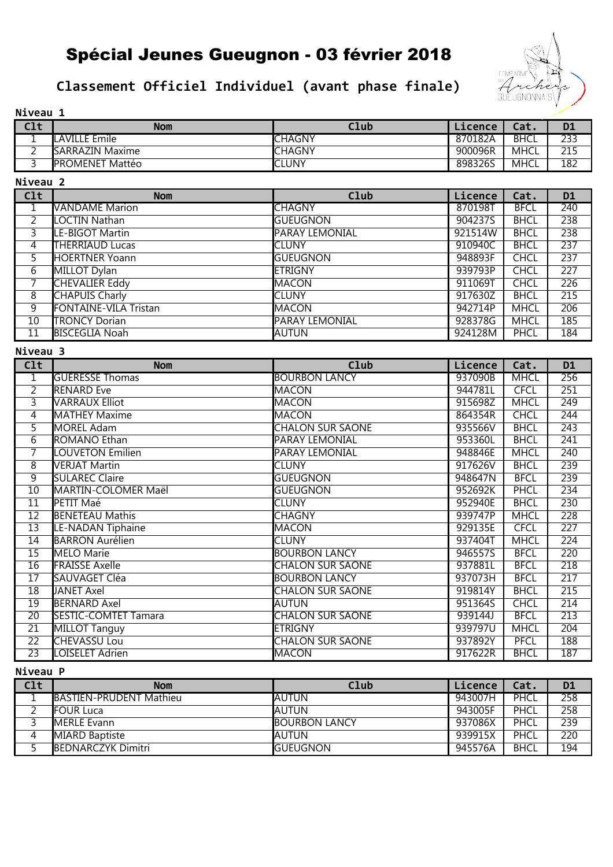## **Classement Officiel Individuel (avant phase finale)**



|--|

| Clt      | Nom                     | Club          | Licence | Cat.        | D <sub>1</sub> |
|----------|-------------------------|---------------|---------|-------------|----------------|
| <b>.</b> | <b>LAVILLE Emile</b>    | <b>CHAGNY</b> | 870182A | <b>BHCL</b> | 233            |
| ∸        | <b>ISARRAZIN Maxime</b> | <b>CHAGNY</b> | 900096R | MHCL        | 215            |
|          | <b>PROMENET Mattéo</b>  | <b>ICLUNY</b> | 898326S | <b>MHCL</b> | 182            |

**Niveau 2**

| Clt            | <b>Nom</b>                   | Club            | Licence | Cat.        | <b>D1</b> |
|----------------|------------------------------|-----------------|---------|-------------|-----------|
|                | <b>VANDAME</b> Marion        | <b>CHAGNY</b>   | 870198T | <b>BFCL</b> | 240       |
| $\overline{2}$ | LOCTIN Nathan                | <b>GUEUGNON</b> | 904237S | <b>BHCL</b> | 238       |
| 3              | LE-BIGOT Martin              | PARAY LEMONIAL  | 921514W | <b>BHCL</b> | 238       |
| 4              | <b>THERRIAUD Lucas</b>       | <b>I</b> CLUNY  | 910940C | <b>BHCL</b> | 237       |
| 5.             | <b>HOERTNER Yoann</b>        | <b>GUEUGNON</b> | 948893F | <b>CHCL</b> | 237       |
| $\overline{6}$ | MILLOT Dylan                 | <b>ETRIGNY</b>  | 939793P | <b>CHCL</b> | 227       |
|                | <b>CHEVALIER Eddy</b>        | <b>MACON</b>    | 911069T | <b>CHCL</b> | 226       |
| 8              | <b>CHAPUIS Charly</b>        | <b>CLUNY</b>    | 917630Z | <b>BHCL</b> | 215       |
| 9              | <b>FONTAINE-VILA Tristan</b> | <b>IMACON</b>   | 942714P | <b>MHCL</b> | 206       |
| 10             | <b>TRONCY Dorian</b>         | PARAY LEMONIAL  | 928378G | <b>MHCL</b> | 185       |
| 11             | <b>BISCEGLIA Noah</b>        | IAUTUN          | 924128M | PHCL        | 184       |

### **Niveau 3**

| C1t             | <b>Nom</b>                  | Club                    | Licence | Cat.        | D <sub>1</sub>   |
|-----------------|-----------------------------|-------------------------|---------|-------------|------------------|
| $\overline{1}$  | <b>GUERESSE Thomas</b>      | <b>BOURBON LANCY</b>    | 937090B | <b>MHCL</b> | 256              |
| $\overline{2}$  | <b>RENARD</b> Eve           | <b>MACON</b>            | 944781L | <b>CFCL</b> | 251              |
| 3               | <b>VARRAUX Elliot</b>       | <b>MACON</b>            | 915698Z | <b>MHCL</b> | 249              |
| 4               | <b>MATHEY Maxime</b>        | <b>MACON</b>            | 864354R | <b>CHCL</b> | $\overline{244}$ |
| 5               | <b>MOREL Adam</b>           | <b>CHALON SUR SAONE</b> | 935566V | <b>BHCL</b> | 243              |
| $\overline{6}$  | ROMANO Ethan                | PARAY LEMONIAL          | 953360L | <b>BHCL</b> | 241              |
| $\overline{7}$  | <b>LOUVETON Emilien</b>     | PARAY LEMONIAL          | 948846E | <b>MHCL</b> | 240              |
| 8               | <b>VERJAT Martin</b>        | <b>CLUNY</b>            | 917626V | <b>BHCL</b> | 239              |
| $\overline{9}$  | <b>SULAREC Claire</b>       | <b>GUEUGNON</b>         | 948647N | <b>BFCL</b> | 239              |
| 10              | <b>MARTIN-COLOMER Maël</b>  | <b>GUEUGNON</b>         | 952692K | <b>PHCL</b> | 234              |
| $\overline{11}$ | PETIT Maé                   | <b>CLUNY</b>            | 952940E | <b>BHCL</b> | 230              |
| $\overline{12}$ | <b>BENETEAU Mathis</b>      | <b>CHAGNY</b>           | 939747P | <b>MHCL</b> | 228              |
| $\overline{13}$ | <b>LE-NADAN Tiphaine</b>    | MACON                   | 929135E | <b>CFCL</b> | $\overline{227}$ |
| 14              | <b>BARRON Aurélien</b>      | <b>CLUNY</b>            | 937404T | <b>MHCL</b> | 224              |
| $\overline{15}$ | MELO Marie                  | <b>BOURBON LANCY</b>    | 946557S | <b>BFCL</b> | 220              |
| $\overline{16}$ | <b>FRAISSE Axelle</b>       | <b>CHALON SUR SAONE</b> | 937881L | <b>BFCL</b> | 218              |
| $\overline{17}$ | SAUVAGET Cléa               | <b>BOURBON LANCY</b>    | 937073H | <b>BFCL</b> | 217              |
| $\overline{18}$ | <b>JANET Axel</b>           | <b>CHALON SUR SAONE</b> | 919814Y | <b>BHCL</b> | 215              |
| 19              | <b>BERNARD Axel</b>         | AUTUN                   | 951364S | <b>CHCL</b> | 214              |
| $\overline{20}$ | <b>SESTIC-COMTET Tamara</b> | <b>CHALON SUR SAONE</b> | 939144J | <b>BFCL</b> | $\overline{213}$ |
| $\overline{21}$ | MILLOT Tanguy               | <b>ETRIGNY</b>          | 939797U | <b>MHCL</b> | $\overline{204}$ |
| $\overline{22}$ | <b>CHEVASSU Lou</b>         | <b>CHALON SUR SAONE</b> | 937892Y | <b>PFCL</b> | 188              |
| 23              | LOISELET Adrien             | <b>MACON</b>            | 917622R | <b>BHCL</b> | 187              |

### **Niveau P**

| C1t | <b>Nom</b>                      | Club                  | Licence | Cat.        | <b>D1</b> |
|-----|---------------------------------|-----------------------|---------|-------------|-----------|
|     | <b>IBASTIEN-PRUDENT Mathieu</b> | <b>IAUTUN</b>         | 943007H | PHCL        | 258       |
|     | <b>IFOUR Luca</b>               | <b>IAUTUN</b>         | 943005F | PHCL        | 258       |
|     | <b>IMERLE Evann</b>             | <b>IBOURBON LANCY</b> | 937086X | PHCL        | 239       |
| 4   | <b>MIARD Baptiste</b>           | <b>IAUTUN</b>         | 939915X | PHCL        | 220       |
|     | <b>IBEDNARCZYK Dimitri</b>      | <b>IGUEUGNON</b>      | 945576A | <b>BHCL</b> | 194       |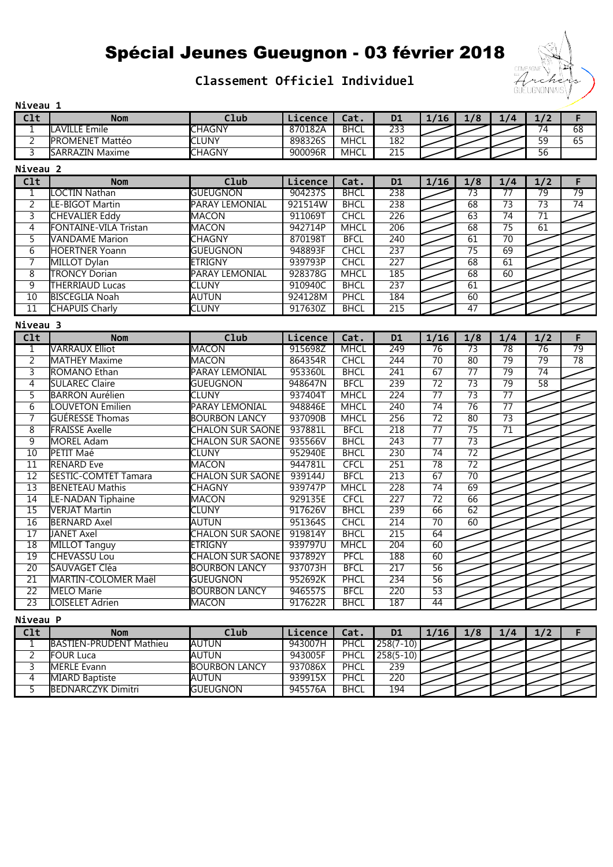### **Classement Officiel Individuel**



| Niveau 1                |                              |                         |         |             |                  |                 |                 |                 |                 |                 |
|-------------------------|------------------------------|-------------------------|---------|-------------|------------------|-----------------|-----------------|-----------------|-----------------|-----------------|
| $\overline{\text{C1t}}$ | <b>Nom</b>                   | Club                    | Licence | Cat.        | <b>D1</b>        | 1/16            | 1/8             | 1/4             | 1/2             | F               |
| 1                       | <b>LAVILLE Emile</b>         | <b>CHAGNY</b>           | 870182A | <b>BHCL</b> | 233              |                 |                 |                 | $\overline{74}$ | $\overline{68}$ |
| $\overline{2}$          | <b>PROMENET Mattéo</b>       | <b>CLUNY</b>            | 8983265 | <b>MHCL</b> | 182              |                 |                 |                 | $\overline{59}$ | 65              |
| $\overline{3}$          | <b>SARRAZIN Maxime</b>       | <b>CHAGNY</b>           | 900096R | <b>MHCL</b> | $\overline{215}$ |                 |                 |                 | $\overline{56}$ |                 |
| Niveau 2                |                              |                         |         |             |                  |                 |                 |                 |                 |                 |
| C1t                     | <b>Nom</b>                   | Club                    | Licence | Cat.        | <b>D1</b>        | 1/16            | 1/8             | 1/4             | 1/2             | F               |
| $\mathbf{1}$            | LOCTIN Nathan                | <b>GUEUGNON</b>         | 904237S | <b>BHCL</b> | 238              |                 | $\overline{73}$ | $\overline{77}$ | $\overline{79}$ | $\overline{79}$ |
| $\overline{2}$          | LE-BIGOT Martin              | <b>PARAY LEMONIAL</b>   | 921514W | <b>BHCL</b> | 238              |                 | $\overline{68}$ | $\overline{73}$ | $\overline{73}$ | $\overline{74}$ |
| $\overline{3}$          | <b>CHEVALIER Eddy</b>        | <b>MACON</b>            | 911069T | <b>CHCL</b> | 226              |                 | 63              | $\overline{74}$ | $\overline{71}$ |                 |
| $\overline{4}$          | <b>FONTAINE-VILA Tristan</b> | <b>MACON</b>            | 942714P | <b>MHCL</b> | 206              |                 | $\overline{68}$ | $\overline{75}$ | $\overline{61}$ |                 |
| $\overline{5}$          | <b>VANDAME</b> Marion        | <b>CHAGNY</b>           | 870198T | <b>BFCL</b> | 240              |                 | 61              | $\overline{70}$ |                 |                 |
| 6                       | <b>HOERTNER Yoann</b>        | <b>GUEUGNON</b>         | 948893F | <b>CHCL</b> | 237              |                 | $\overline{75}$ | 69              |                 |                 |
| $\overline{7}$          | <b>MILLOT Dylan</b>          | <b>ETRIGNY</b>          | 939793P | <b>CHCL</b> | $\overline{227}$ |                 | $\overline{68}$ | $\overline{61}$ |                 |                 |
| $\overline{8}$          | <b>TRONCY Dorian</b>         | <b>PARAY LEMONIAL</b>   | 928378G | <b>MHCL</b> | $\overline{185}$ |                 | $\overline{68}$ | $\overline{60}$ |                 |                 |
| $\overline{9}$          | <b>THERRIAUD Lucas</b>       | <b>CLUNY</b>            | 910940C | <b>BHCL</b> | 237              |                 | $\overline{61}$ |                 |                 |                 |
| $\overline{10}$         | <b>BISCEGLIA Noah</b>        | <b>AUTUN</b>            | 924128M | <b>PHCL</b> | 184              |                 | $\overline{60}$ |                 |                 |                 |
| $\overline{11}$         | <b>CHAPUIS Charly</b>        | <b>CLUNY</b>            | 917630Z | <b>BHCL</b> | $\overline{215}$ |                 | $\overline{47}$ |                 |                 |                 |
| Niveau 3                |                              |                         |         |             |                  |                 |                 |                 |                 |                 |
| C1t                     | <b>Nom</b>                   | Club                    | Licence | Cat.        | D1               | 1/16            | 1/8             | 1/4             | 1/2             | F               |
| $\mathbf 1$             | <b>VARRAUX Elliot</b>        | <b>MACON</b>            | 915698Z | <b>MHCL</b> | 249              | $\overline{76}$ | $\overline{73}$ | $\overline{78}$ | $\overline{76}$ | $\overline{79}$ |
| $\overline{2}$          | <b>MATHEY Maxime</b>         | <b>MACON</b>            | 864354R | <b>CHCL</b> | 244              | $\overline{70}$ | $\overline{80}$ | $\overline{79}$ | $\overline{79}$ | $\overline{78}$ |
| $\overline{3}$          | <b>ROMANO Ethan</b>          | <b>PARAY LEMONIAL</b>   | 953360L | <b>BHCL</b> | $\overline{241}$ | 67              | $\overline{77}$ | $\overline{79}$ | $\overline{74}$ |                 |
| $\overline{4}$          | <b>SULAREC Claire</b>        | <b>GUEUGNON</b>         | 948647N | <b>BFCL</b> | 239              | $\overline{72}$ | $\overline{73}$ | $\overline{79}$ | $\overline{58}$ |                 |
| $\overline{5}$          | <b>BARRON Aurélien</b>       | <b>CLUNY</b>            | 937404T | <b>MHCL</b> | $\overline{224}$ | $\overline{77}$ | $\overline{73}$ | $\overline{77}$ |                 |                 |
| $\overline{6}$          | <b>LOUVETON Emilien</b>      | PARAY LEMONIAL          | 948846E | <b>MHCL</b> | 240              | $\overline{74}$ | $\overline{76}$ | $\overline{77}$ |                 |                 |
| 7                       | <b>GUÉRESSE Thomas</b>       | <b>BOURBON LANCY</b>    | 937090B | <b>MHCL</b> | 256              | $\overline{72}$ | $\overline{80}$ | $\overline{73}$ |                 |                 |
| $\overline{8}$          | <b>FRAISSE Axelle</b>        | <b>CHALON SUR SAONE</b> | 937881L | <b>BFCL</b> | 218              | $\overline{77}$ | $\overline{75}$ | $\overline{71}$ |                 |                 |
| $\overline{9}$          | <b>MOREL Adam</b>            | <b>CHALON SUR SAONE</b> | 935566V | <b>BHCL</b> | 243              | 77              | 73              |                 |                 |                 |
| $\overline{10}$         | PETIT Maé                    | <b>CLUNY</b>            | 952940E | <b>BHCL</b> | 230              | $\overline{74}$ | $\overline{72}$ |                 |                 |                 |
| $\overline{11}$         | <b>RENARD Eve</b>            | <b>MACON</b>            | 944781L | <b>CFCL</b> | 251              | 78              | $\overline{72}$ |                 |                 |                 |
| $\overline{12}$         | <b>SESTIC-COMTET Tamara</b>  | <b>CHALON SUR SAONE</b> | 939144J | <b>BFCL</b> | $\overline{213}$ | 67              | $\overline{70}$ |                 |                 |                 |
| $\overline{13}$         | <b>BENETEAU Mathis</b>       | <b>CHAGNY</b>           | 939747P | <b>MHCL</b> | 228              | $\overline{74}$ | $\overline{69}$ |                 |                 |                 |
| $\overline{14}$         | <b>LE-NADAN Tiphaine</b>     | <b>MACON</b>            | 929135E | <b>CFCL</b> | $\overline{227}$ | $\overline{72}$ | 66              |                 |                 |                 |
| $\overline{15}$         | <b>VERJAT Martin</b>         | <b>CLUNY</b>            | 917626V | <b>BHCL</b> | 239              | 66              | $\overline{62}$ |                 |                 |                 |
| $\overline{16}$         | <b>BERNARD Axel</b>          | <b>AUTUN</b>            | 951364S | <b>CHCL</b> | $\overline{214}$ | $\overline{70}$ | $\overline{60}$ |                 |                 |                 |
| $\overline{17}$         | <b>JANET Axel</b>            | <b>CHALON SUR SAONE</b> | 919814Y | <b>BHCL</b> | $\overline{215}$ | 64              |                 |                 |                 |                 |
| $\overline{18}$         | <b>MILLOT Tanguy</b>         | <b>ETRIGNY</b>          | 939797U | <b>MHCL</b> | 204              | $\overline{60}$ |                 |                 |                 |                 |
| $\overline{19}$         | <b>CHEVASSU Lou</b>          | <b>CHALON SUR SAONE</b> | 937892Y | <b>PFCL</b> | 188              | 60              |                 |                 |                 |                 |
| $\overline{20}$         | SAUVAGET Cléa                | <b>BOURBON LANCY</b>    | 937073H | <b>BFCL</b> | 217              | $\overline{56}$ |                 |                 |                 |                 |
| $\overline{21}$         | <b>MARTIN-COLOMER Maël</b>   | <b>GUEUGNON</b>         | 952692K | PHCL        | 234              | 56              |                 |                 |                 |                 |
| $\overline{22}$         | <b>MELO Marie</b>            | <b>BOURBON LANCY</b>    | 946557S | <b>BFCL</b> | 220              | $\overline{53}$ |                 |                 |                 |                 |
| $\overline{23}$         | LOISELET Adrien              | <b>MACON</b>            | 917622R | <b>BHCL</b> | 187              | 44              |                 |                 |                 |                 |

#### **Niveau P**

| Clt | <b>Nom</b>                      | Club                 | Licence | <b>Cat.</b> | D1          | 1/16 | ./8 | $\overline{A}$ | 1/2 |  |
|-----|---------------------------------|----------------------|---------|-------------|-------------|------|-----|----------------|-----|--|
|     | <b>IBASTIEN-PRUDENT Mathieu</b> | <b>JAUTUN</b>        | 943007H | PHCL        | $258(7-10)$ |      |     |                |     |  |
|     | <b>IFOUR Luca</b>               | IAUTUN               | 943005F | PHCL        | $258(5-10)$ |      |     |                |     |  |
|     | <b>IMERLE Evann</b>             | <b>BOURBON LANCY</b> | 937086X | PHCL        | 239         |      |     |                |     |  |
|     | <b>MIARD Baptiste</b>           | IAUTUN               | 939915X | PHCL        | 220         |      |     |                |     |  |
|     | <b>IBEDNARCZYK Dimitri</b>      | <b>IGUEUGNON</b>     | 945576A | <b>BHCL</b> | 194         |      |     |                |     |  |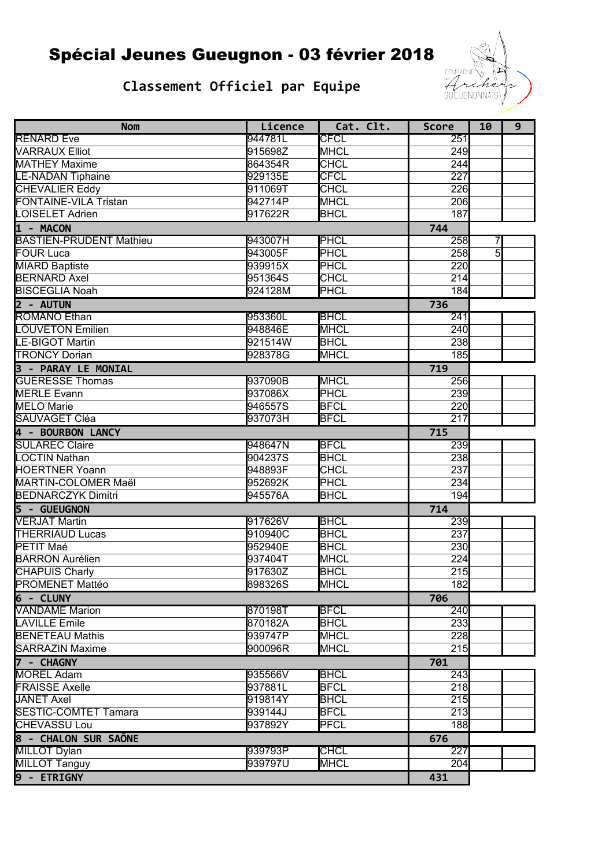## Classement Officiel par Equipe



| <b>Nom</b>                     | Licence | Cat. Clt.   | <b>Score</b>     | 10             | 9 |
|--------------------------------|---------|-------------|------------------|----------------|---|
| <b>RENARD Eve</b>              | 944781L | <b>CFCL</b> | 251              |                |   |
| <b>VARRAUX Elliot</b>          | 915698Z | <b>MHCL</b> | 249              |                |   |
| <b>MATHEY Maxime</b>           | 864354R | <b>CHCL</b> | $\overline{244}$ |                |   |
| <b>LE-NADAN Tiphaine</b>       | 929135E | <b>CFCL</b> | $\overline{227}$ |                |   |
| <b>CHEVALIER Eddy</b>          | 911069T | <b>CHCL</b> | 226              |                |   |
| <b>FONTAINE-VILA Tristan</b>   | 942714P | <b>MHCL</b> | 206              |                |   |
| LOISELET Adrien                | 917622R | <b>BHCL</b> | 187              |                |   |
| 1 - MACON                      |         |             | 744              |                |   |
| <b>BASTIEN-PRUDENT Mathieu</b> | 943007H | PHCL        | 258              | 7              |   |
| <b>FOUR Luca</b>               | 943005F | <b>PHCL</b> | 258              | $\overline{5}$ |   |
| <b>MIARD Baptiste</b>          | 939915X | <b>PHCL</b> | 220              |                |   |
| <b>BERNARD Axel</b>            | 951364S | <b>CHCL</b> | 214              |                |   |
| <b>BISCEGLIA Noah</b>          | 924128M | <b>PHCL</b> | 184              |                |   |
| 2 - AUTUN                      |         |             | 736              |                |   |
| <b>ROMANO Ethan</b>            | 953360L | <b>BHCL</b> | $\overline{241}$ |                |   |
| <b>LOUVETON Emilien</b>        | 948846E | <b>MHCL</b> | 240              |                |   |
| <b>LE-BIGOT Martin</b>         | 921514W | <b>BHCL</b> | 238              |                |   |
| <b>TRONCY Dorian</b>           | 928378G | <b>MHCL</b> | 185              |                |   |
| 3 - PARAY LE MONIAL            |         |             | 719              |                |   |
| <b>GUÉRESSE Thomas</b>         | 937090B | <b>MHCL</b> | 256              |                |   |
| <b>MERLE Evann</b>             | 937086X | <b>PHCL</b> | 239              |                |   |
| <b>MELO</b> Marie              | 946557S | <b>BFCL</b> | 220              |                |   |
| SAUVAGET Cléa                  | 937073H | <b>BFCL</b> | $\overline{217}$ |                |   |
| 4 - BOURBON LANCY              |         |             | 715              |                |   |
| <b>SULAREC Claire</b>          | 948647N | <b>BFCL</b> | 239              |                |   |
| <b>LOCTIN Nathan</b>           | 904237S | <b>BHCL</b> | 238              |                |   |
| <b>HOERTNER Yoann</b>          | 948893F | <b>CHCL</b> | 237              |                |   |
| MARTIN-COLOMER Maël            | 952692K | PHCL        | 234              |                |   |
| <b>BEDNARCZYK Dimitri</b>      | 945576A | <b>BHCL</b> | 194              |                |   |
| 5 - GUEUGNON                   |         |             | 714              |                |   |
| <b>VERJAT Martin</b>           | 917626V | <b>BHCL</b> | 239              |                |   |
| <b>THERRIAUD Lucas</b>         | 910940C | <b>BHCL</b> | 237              |                |   |
| PETIT Maé                      | 952940E | <b>BHCL</b> | 230              |                |   |
| <b>BARRON Aurélien</b>         | 937404T | <b>MHCL</b> | $\overline{224}$ |                |   |
| <b>CHAPUIS Charly</b>          | 917630Z | <b>BHCL</b> | $\overline{215}$ |                |   |
| <b>PROMENET Mattéo</b>         | 898326S | <b>MHCL</b> | 182              |                |   |
| $6 - CLUNY$                    |         |             | 706              |                |   |
| <b>VANDAME</b> Marion          | 870198T | <b>BFCL</b> | 240              |                |   |
| <b>LAVILLE Emile</b>           | 870182A | <b>BHCL</b> | 233              |                |   |
| <b>BENETEAU Mathis</b>         | 939747P | <b>MHCL</b> | 228              |                |   |
| <b>SARRAZIN Maxime</b>         | 900096R | <b>MHCL</b> | 215              |                |   |
| 7 - CHAGNY                     |         |             | 701              |                |   |
| <b>MOREL Adam</b>              | 935566V | <b>BHCL</b> | 243              |                |   |
| <b>FRAISSE Axelle</b>          | 937881L | <b>BFCL</b> | 218              |                |   |
| <b>JANET Axel</b>              | 919814Y | <b>BHCL</b> | $\overline{215}$ |                |   |
| <b>SESTIC-COMTET Tamara</b>    | 939144J | <b>BFCL</b> | $\overline{213}$ |                |   |
| <b>CHEVASSU Lou</b>            | 937892Y | <b>PFCL</b> | 188              |                |   |
| 8 - CHALON SUR SAÔNE           |         |             | 676              |                |   |
| <b>MILLOT Dylan</b>            | 939793P | <b>CHCL</b> | $\overline{227}$ |                |   |
| <b>MILLOT Tanguy</b>           | 939797U | <b>MHCL</b> | 204              |                |   |
| 9 - ETRIGNY                    |         |             | 431              |                |   |